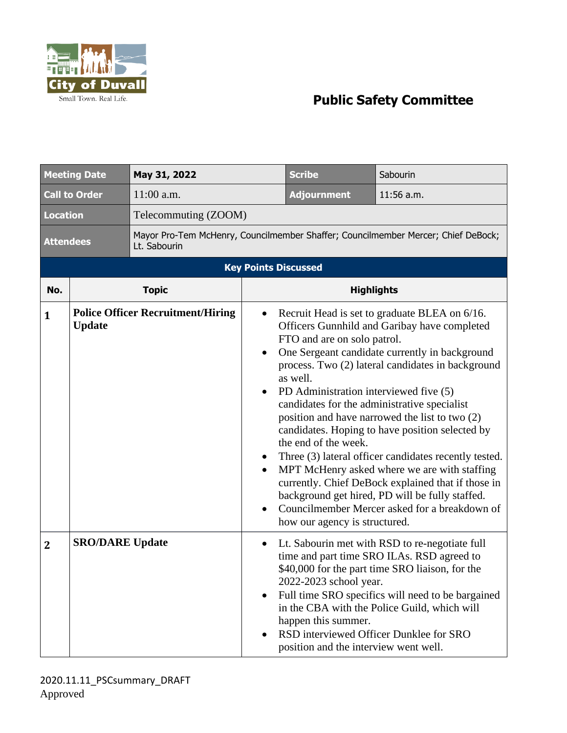

## **Public Safety Committee**

| <b>Meeting Date</b>         |                        | May 31, 2022                                                                                      |                                  | <b>Scribe</b>                                                                                                                              | Sabourin                                                                                                                                                                                                                                                                                                                                                                                                                                                                                                                                                                                                                     |  |
|-----------------------------|------------------------|---------------------------------------------------------------------------------------------------|----------------------------------|--------------------------------------------------------------------------------------------------------------------------------------------|------------------------------------------------------------------------------------------------------------------------------------------------------------------------------------------------------------------------------------------------------------------------------------------------------------------------------------------------------------------------------------------------------------------------------------------------------------------------------------------------------------------------------------------------------------------------------------------------------------------------------|--|
| <b>Call to Order</b>        |                        | $11:00$ a.m.                                                                                      |                                  | <b>Adjournment</b>                                                                                                                         | 11:56 a.m.                                                                                                                                                                                                                                                                                                                                                                                                                                                                                                                                                                                                                   |  |
| <b>Location</b>             |                        | Telecommuting (ZOOM)                                                                              |                                  |                                                                                                                                            |                                                                                                                                                                                                                                                                                                                                                                                                                                                                                                                                                                                                                              |  |
| <b>Attendees</b>            |                        | Mayor Pro-Tem McHenry, Councilmember Shaffer; Councilmember Mercer; Chief DeBock;<br>Lt. Sabourin |                                  |                                                                                                                                            |                                                                                                                                                                                                                                                                                                                                                                                                                                                                                                                                                                                                                              |  |
| <b>Key Points Discussed</b> |                        |                                                                                                   |                                  |                                                                                                                                            |                                                                                                                                                                                                                                                                                                                                                                                                                                                                                                                                                                                                                              |  |
| No.                         |                        | <b>Topic</b>                                                                                      |                                  | <b>Highlights</b>                                                                                                                          |                                                                                                                                                                                                                                                                                                                                                                                                                                                                                                                                                                                                                              |  |
| 1                           | <b>Update</b>          | <b>Police Officer Recruitment/Hiring</b>                                                          | ٠<br>٠<br>$\bullet$<br>$\bullet$ | FTO and are on solo patrol.<br>as well.<br>PD Administration interviewed five (5)<br>the end of the week.<br>how our agency is structured. | Recruit Head is set to graduate BLEA on 6/16.<br>Officers Gunnhild and Garibay have completed<br>One Sergeant candidate currently in background<br>process. Two (2) lateral candidates in background<br>candidates for the administrative specialist<br>position and have narrowed the list to two (2)<br>candidates. Hoping to have position selected by<br>Three (3) lateral officer candidates recently tested.<br>MPT McHenry asked where we are with staffing<br>currently. Chief DeBock explained that if those in<br>background get hired, PD will be fully staffed.<br>Councilmember Mercer asked for a breakdown of |  |
| $\overline{2}$              | <b>SRO/DARE Update</b> |                                                                                                   | $\bullet$<br>٠                   | 2022-2023 school year.<br>happen this summer.<br>position and the interview went well.                                                     | Lt. Sabourin met with RSD to re-negotiate full<br>time and part time SRO ILAs. RSD agreed to<br>\$40,000 for the part time SRO liaison, for the<br>Full time SRO specifics will need to be bargained<br>in the CBA with the Police Guild, which will<br>RSD interviewed Officer Dunklee for SRO                                                                                                                                                                                                                                                                                                                              |  |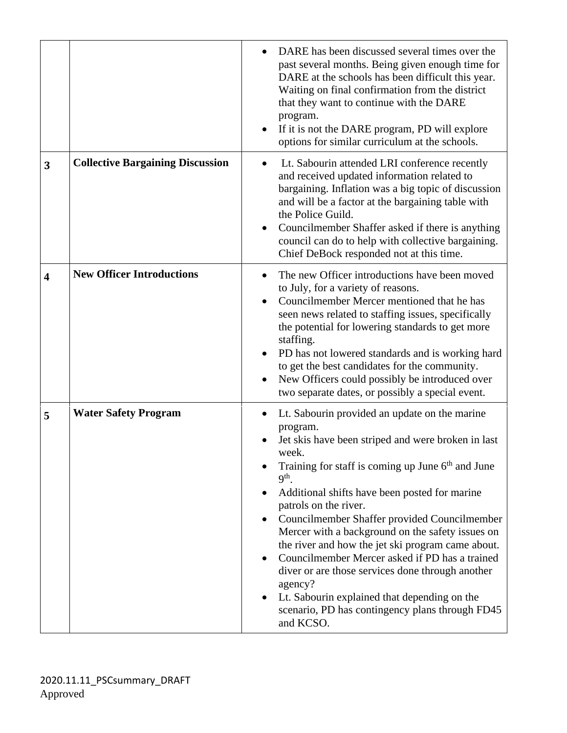|                         |                                         | DARE has been discussed several times over the<br>past several months. Being given enough time for<br>DARE at the schools has been difficult this year.<br>Waiting on final confirmation from the district<br>that they want to continue with the DARE<br>program.<br>If it is not the DARE program, PD will explore<br>options for similar curriculum at the schools.                                                                                                                                                                                                                                                                                                           |
|-------------------------|-----------------------------------------|----------------------------------------------------------------------------------------------------------------------------------------------------------------------------------------------------------------------------------------------------------------------------------------------------------------------------------------------------------------------------------------------------------------------------------------------------------------------------------------------------------------------------------------------------------------------------------------------------------------------------------------------------------------------------------|
| 3                       | <b>Collective Bargaining Discussion</b> | Lt. Sabourin attended LRI conference recently<br>$\bullet$<br>and received updated information related to<br>bargaining. Inflation was a big topic of discussion<br>and will be a factor at the bargaining table with<br>the Police Guild.<br>Councilmember Shaffer asked if there is anything<br>council can do to help with collective bargaining.<br>Chief DeBock responded not at this time.                                                                                                                                                                                                                                                                                 |
| $\overline{\mathbf{4}}$ | <b>New Officer Introductions</b>        | The new Officer introductions have been moved<br>to July, for a variety of reasons.<br>Councilmember Mercer mentioned that he has<br>seen news related to staffing issues, specifically<br>the potential for lowering standards to get more<br>staffing.<br>PD has not lowered standards and is working hard<br>to get the best candidates for the community.<br>New Officers could possibly be introduced over<br>two separate dates, or possibly a special event.                                                                                                                                                                                                              |
| 5                       | <b>Water Safety Program</b>             | Lt. Sabourin provided an update on the marine<br>program.<br>Jet skis have been striped and were broken in last<br>week.<br>Training for staff is coming up June 6 <sup>th</sup> and June<br>9 <sup>th</sup><br>Additional shifts have been posted for marine<br>patrols on the river.<br>Councilmember Shaffer provided Councilmember<br>Mercer with a background on the safety issues on<br>the river and how the jet ski program came about.<br>Councilmember Mercer asked if PD has a trained<br>diver or are those services done through another<br>agency?<br>Lt. Sabourin explained that depending on the<br>scenario, PD has contingency plans through FD45<br>and KCSO. |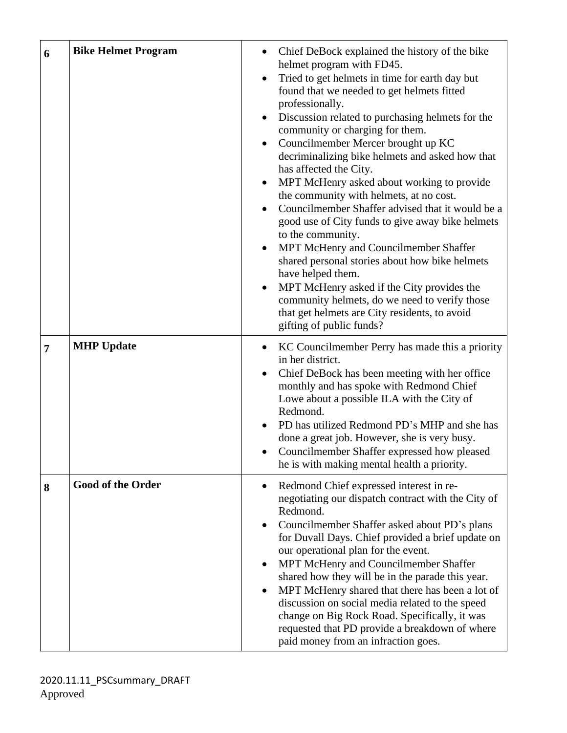| 6 | <b>Bike Helmet Program</b> | Chief DeBock explained the history of the bike<br>helmet program with FD45.<br>Tried to get helmets in time for earth day but<br>found that we needed to get helmets fitted<br>professionally.<br>Discussion related to purchasing helmets for the<br>community or charging for them.<br>Councilmember Mercer brought up KC<br>decriminalizing bike helmets and asked how that<br>has affected the City.<br>MPT McHenry asked about working to provide<br>the community with helmets, at no cost.<br>Councilmember Shaffer advised that it would be a<br>good use of City funds to give away bike helmets<br>to the community.<br>MPT McHenry and Councilmember Shaffer<br>shared personal stories about how bike helmets<br>have helped them.<br>MPT McHenry asked if the City provides the<br>community helmets, do we need to verify those<br>that get helmets are City residents, to avoid<br>gifting of public funds? |
|---|----------------------------|----------------------------------------------------------------------------------------------------------------------------------------------------------------------------------------------------------------------------------------------------------------------------------------------------------------------------------------------------------------------------------------------------------------------------------------------------------------------------------------------------------------------------------------------------------------------------------------------------------------------------------------------------------------------------------------------------------------------------------------------------------------------------------------------------------------------------------------------------------------------------------------------------------------------------|
| 7 | <b>MHP Update</b>          | KC Councilmember Perry has made this a priority<br>in her district.<br>Chief DeBock has been meeting with her office<br>$\bullet$<br>monthly and has spoke with Redmond Chief<br>Lowe about a possible ILA with the City of<br>Redmond.<br>PD has utilized Redmond PD's MHP and she has<br>done a great job. However, she is very busy.<br>Councilmember Shaffer expressed how pleased<br>$\bullet$<br>he is with making mental health a priority.                                                                                                                                                                                                                                                                                                                                                                                                                                                                         |
| 8 | <b>Good of the Order</b>   | Redmond Chief expressed interest in re-<br>negotiating our dispatch contract with the City of<br>Redmond.<br>Councilmember Shaffer asked about PD's plans<br>for Duvall Days. Chief provided a brief update on<br>our operational plan for the event.<br>MPT McHenry and Councilmember Shaffer<br>shared how they will be in the parade this year.<br>MPT McHenry shared that there has been a lot of<br>discussion on social media related to the speed<br>change on Big Rock Road. Specifically, it was<br>requested that PD provide a breakdown of where<br>paid money from an infraction goes.                                                                                                                                                                                                                                                                                                                         |